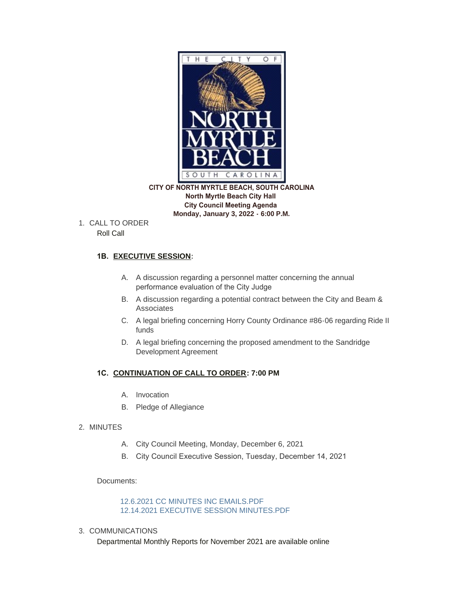

**North Myrtle Beach City Hall City Council Meeting Agenda Monday, January 3, 2022 - 6:00 P.M.**

1. CALL TO ORDER Roll Call

# **1B. EXECUTIVE SESSION:**

- A. A discussion regarding a personnel matter concerning the annual performance evaluation of the City Judge
- B. A discussion regarding a potential contract between the City and Beam & Associates
- C. A legal briefing concerning Horry County Ordinance #86-06 regarding Ride II funds
- D. A legal briefing concerning the proposed amendment to the Sandridge Development Agreement

## **1C. CONTINUATION OF CALL TO ORDER: 7:00 PM**

- A. Invocation
- B. Pledge of Allegiance

## 2. MINUTES

- A. City Council Meeting, Monday, December 6, 2021
- B. City Council Executive Session, Tuesday, December 14, 2021

## Documents:

[12.6.2021 CC MINUTES INC EMAILS.PDF](https://www.nmb.us/AgendaCenter/ViewFile/Item/641?fileID=1401) [12.14.2021 EXECUTIVE SESSION MINUTES.PDF](https://www.nmb.us/AgendaCenter/ViewFile/Item/641?fileID=1400)

3. COMMUNICATIONS

Departmental Monthly Reports for November 2021 are available online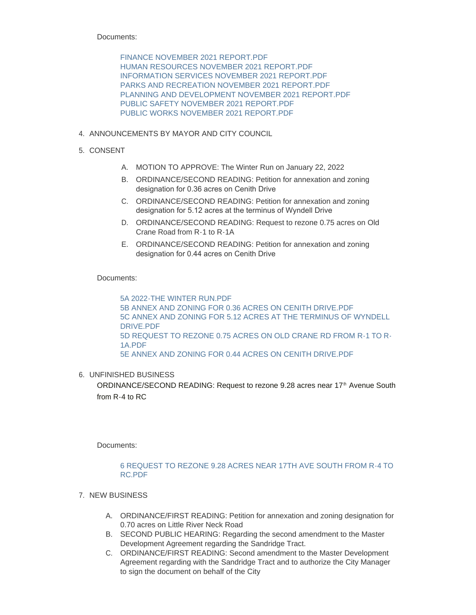Documents:

[FINANCE NOVEMBER 2021 REPORT.PDF](https://www.nmb.us/AgendaCenter/ViewFile/Item/642?fileID=1418) [HUMAN RESOURCES NOVEMBER 2021 REPORT.PDF](https://www.nmb.us/AgendaCenter/ViewFile/Item/642?fileID=1419) [INFORMATION SERVICES NOVEMBER 2021 REPORT.PDF](https://www.nmb.us/AgendaCenter/ViewFile/Item/642?fileID=1420) [PARKS AND RECREATION NOVEMBER 2021 REPORT.PDF](https://www.nmb.us/AgendaCenter/ViewFile/Item/642?fileID=1422) [PLANNING AND DEVELOPMENT NOVEMBER 2021 REPORT.PDF](https://www.nmb.us/AgendaCenter/ViewFile/Item/642?fileID=1421) [PUBLIC SAFETY NOVEMBER 2021 REPORT.PDF](https://www.nmb.us/AgendaCenter/ViewFile/Item/642?fileID=1423) [PUBLIC WORKS NOVEMBER 2021 REPORT.PDF](https://www.nmb.us/AgendaCenter/ViewFile/Item/642?fileID=1424)

- 4. ANNOUNCEMENTS BY MAYOR AND CITY COUNCIL
- 5. CONSENT
	- A. MOTION TO APPROVE: The Winter Run on January 22, 2022
	- B. ORDINANCE/SECOND READING: Petition for annexation and zoning designation for 0.36 acres on Cenith Drive
	- C. ORDINANCE/SECOND READING: Petition for annexation and zoning designation for 5.12 acres at the terminus of Wyndell Drive
	- D. ORDINANCE/SECOND READING: Request to rezone 0.75 acres on Old Crane Road from R-1 to R-1A
	- E. ORDINANCE/SECOND READING: Petition for annexation and zoning designation for 0.44 acres on Cenith Drive

Documents:

[5A 2022-THE WINTER RUN.PDF](https://www.nmb.us/AgendaCenter/ViewFile/Item/643?fileID=1402) [5B ANNEX AND ZONING FOR 0.36 ACRES ON CENITH DRIVE.PDF](https://www.nmb.us/AgendaCenter/ViewFile/Item/643?fileID=1403) [5C ANNEX AND ZONING FOR 5.12 ACRES AT THE TERMINUS OF WYNDELL](https://www.nmb.us/AgendaCenter/ViewFile/Item/643?fileID=1404)  DRIVE.PDF [5D REQUEST TO REZONE 0.75 ACRES ON OLD CRANE RD FROM R-1 TO R-](https://www.nmb.us/AgendaCenter/ViewFile/Item/643?fileID=1405)1A.PDF [5E ANNEX AND ZONING FOR 0.44 ACRES ON CENITH DRIVE.PDF](https://www.nmb.us/AgendaCenter/ViewFile/Item/643?fileID=1406)

## UNFINISHED BUSINESS 6.

ORDINANCE/SECOND READING: Request to rezone 9.28 acres near 17<sup>th</sup> Avenue South from R-4 to RC

Documents:

# [6 REQUEST TO REZONE 9.28 ACRES NEAR 17TH AVE SOUTH FROM R-4 TO](https://www.nmb.us/AgendaCenter/ViewFile/Item/644?fileID=1407)  RC.PDF

- 7. NEW BUSINESS
	- A. ORDINANCE/FIRST READING: Petition for annexation and zoning designation for 0.70 acres on Little River Neck Road
	- B. SECOND PUBLIC HEARING: Regarding the second amendment to the Master Development Agreement regarding the Sandridge Tract.
	- C. ORDINANCE/FIRST READING: Second amendment to the Master Development Agreement regarding with the Sandridge Tract and to authorize the City Manager to sign the document on behalf of the City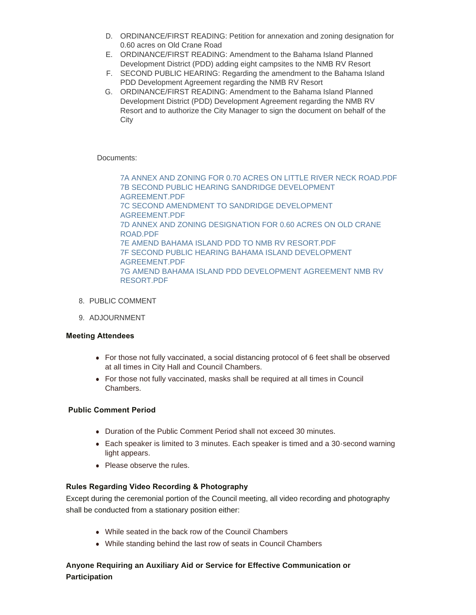- D. ORDINANCE/FIRST READING: Petition for annexation and zoning designation for 0.60 acres on Old Crane Road
- E. ORDINANCE/FIRST READING: Amendment to the Bahama Island Planned Development District (PDD) adding eight campsites to the NMB RV Resort
- F. SECOND PUBLIC HEARING: Regarding the amendment to the Bahama Island PDD Development Agreement regarding the NMB RV Resort
- G. ORDINANCE/FIRST READING: Amendment to the Bahama Island Planned Development District (PDD) Development Agreement regarding the NMB RV Resort and to authorize the City Manager to sign the document on behalf of the **City**

Documents:

[7A ANNEX AND ZONING FOR 0.70 ACRES ON LITTLE RIVER NECK ROAD.PDF](https://www.nmb.us/AgendaCenter/ViewFile/Item/645?fileID=1408) [7B SECOND PUBLIC HEARING SANDRIDGE DEVELOPMENT](https://www.nmb.us/AgendaCenter/ViewFile/Item/645?fileID=1416)  AGREEMENT.PDF [7C SECOND AMENDMENT TO SANDRIDGE DEVELOPMENT](https://www.nmb.us/AgendaCenter/ViewFile/Item/645?fileID=1417)  AGREEMENT.PDF [7D ANNEX AND ZONING DESIGNATION FOR 0.60 ACRES ON OLD CRANE](https://www.nmb.us/AgendaCenter/ViewFile/Item/645?fileID=1411)  ROAD.PDF [7E AMEND BAHAMA ISLAND PDD TO NMB RV RESORT.PDF](https://www.nmb.us/AgendaCenter/ViewFile/Item/645?fileID=1412) [7F SECOND PUBLIC HEARING BAHAMA ISLAND DEVELOPMENT](https://www.nmb.us/AgendaCenter/ViewFile/Item/645?fileID=1425)  AGREEMENT.PDF [7G AMEND BAHAMA ISLAND PDD DEVELOPMENT AGREEMENT NMB RV](https://www.nmb.us/AgendaCenter/ViewFile/Item/645?fileID=1414)  RESORT.PDF

### 8. PUBLIC COMMENT

9. ADJOURNMENT

#### **Meeting Attendees**

- For those not fully vaccinated, a social distancing protocol of 6 feet shall be observed at all times in City Hall and Council Chambers.
- For those not fully vaccinated, masks shall be required at all times in Council Chambers.

### **Public Comment Period**

- Duration of the Public Comment Period shall not exceed 30 minutes.
- Each speaker is limited to 3 minutes. Each speaker is timed and a 30-second warning light appears.
- Please observe the rules.

## **Rules Regarding Video Recording & Photography**

Except during the ceremonial portion of the Council meeting, all video recording and photography shall be conducted from a stationary position either:

- While seated in the back row of the Council Chambers
- While standing behind the last row of seats in Council Chambers

**Anyone Requiring an Auxiliary Aid or Service for Effective Communication or Participation**